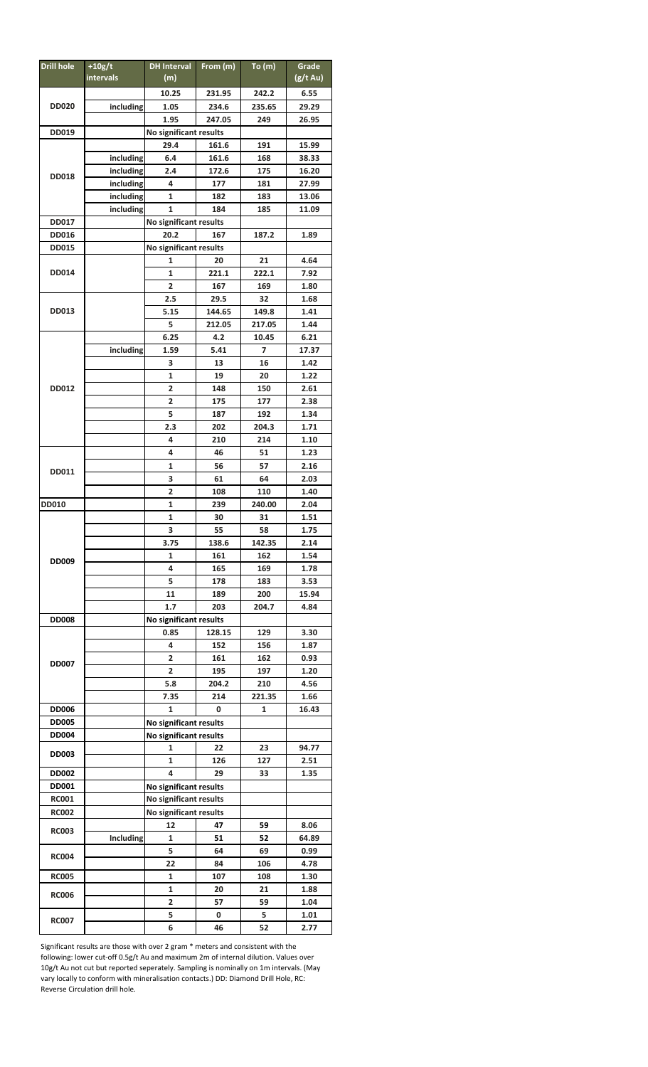| Drill hole                             | $+10g/t$               | DH Interval From (m)    |        | To (m) | Grade              |  |
|----------------------------------------|------------------------|-------------------------|--------|--------|--------------------|--|
|                                        | intervals              | (m)                     |        |        | $(g/t \text{ Au})$ |  |
|                                        |                        | 10.25                   | 231.95 | 242.2  | 6.55               |  |
|                                        |                        |                         |        |        |                    |  |
| <b>DD020</b>                           | including              | 1.05                    | 234.6  | 235.65 | 29.29              |  |
|                                        |                        | 1.95                    | 247.05 | 249    | 26.95              |  |
| DD019                                  |                        | No significant results  |        |        |                    |  |
| <b>DD018</b>                           |                        | 29.4                    | 161.6  | 191    | 15.99              |  |
|                                        | including              | 6.4                     | 161.6  | 168    | 38.33              |  |
|                                        | including              | 2.4                     | 172.6  | 175    | 16.20              |  |
|                                        | including              | 4                       | 177    | 181    | 27.99              |  |
|                                        | including              | 1                       | 182    | 183    | 13.06              |  |
|                                        | including              | $\mathbf{1}$            | 184    | 185    | 11.09              |  |
|                                        |                        |                         |        |        |                    |  |
| <b>DD017</b>                           |                        | No significant results  |        |        |                    |  |
| <b>DD016</b>                           |                        | 20.2                    | 167    | 187.2  | 1.89               |  |
| No significant results<br><b>DD015</b> |                        |                         |        |        |                    |  |
| DD014                                  |                        | 1                       | 20     | 21     | 4.64               |  |
|                                        |                        | 1                       | 221.1  | 222.1  | 7.92               |  |
|                                        |                        | $\overline{\mathbf{c}}$ | 167    | 169    | 1.80               |  |
| DD013                                  |                        | 2.5                     | 29.5   | 32     | 1.68               |  |
|                                        |                        | 5.15                    | 144.65 | 149.8  | 1.41               |  |
|                                        |                        | 5                       | 212.05 | 217.05 | 1.44               |  |
|                                        |                        | 6.25                    |        |        |                    |  |
| DD012                                  |                        |                         | 4.2    | 10.45  | 6.21               |  |
|                                        | including              | 1.59                    | 5.41   | 7      | 17.37              |  |
|                                        |                        | 3                       | 13     | 16     | 1.42               |  |
|                                        |                        | 1                       | 19     | 20     | 1.22               |  |
|                                        |                        | 2                       | 148    | 150    | 2.61               |  |
|                                        |                        | 2                       | 175    | 177    | 2.38               |  |
|                                        |                        | 5                       | 187    | 192    | 1.34               |  |
|                                        |                        | 2.3                     | 202    | 204.3  | 1.71               |  |
|                                        |                        | 4                       | 210    | 214    | 1.10               |  |
|                                        |                        |                         |        |        |                    |  |
| DD011                                  |                        | 4                       | 46     | 51     | 1.23               |  |
|                                        |                        | 1                       | 56     | 57     | 2.16               |  |
|                                        |                        | 3                       | 61     | 64     | 2.03               |  |
|                                        |                        | 2                       | 108    | 110    | 1.40               |  |
| <b>DD010</b>                           |                        | 1                       | 239    | 240.00 | 2.04               |  |
| <b>DD009</b>                           |                        | 1                       | 30     | 31     | 1.51               |  |
|                                        |                        | 3                       | 55     | 58     | 1.75               |  |
|                                        |                        | 3.75                    | 138.6  | 142.35 | 2.14               |  |
|                                        |                        | 1                       | 161    | 162    | 1.54               |  |
|                                        |                        | 4                       | 165    | 169    | 1.78               |  |
|                                        |                        |                         |        |        |                    |  |
|                                        |                        | 5                       | 178    | 183    | 3.53               |  |
|                                        |                        | 11                      | 189    | 200    | 15.94              |  |
|                                        |                        | 1.7                     | 203    | 204.7  | 4.84               |  |
| <b>DD008</b>                           |                        | No significant results  |        |        |                    |  |
| <b>DD007</b>                           |                        | 0.85                    | 128.15 | 129    | 3.30               |  |
|                                        |                        | 4                       | 152    | 156    | 1.87               |  |
|                                        |                        | 2                       | 161    | 162    | 0.93               |  |
|                                        |                        | 2                       | 195    | 197    | 1.20               |  |
|                                        |                        | 5.8                     | 204.2  | 210    | 4.56               |  |
|                                        |                        | 7.35                    | 214    | 221.35 | 1.66               |  |
| <b>DD006</b>                           |                        | 1                       | 0      | 1      | 16.43              |  |
|                                        |                        |                         |        |        |                    |  |
| <b>DD005</b>                           |                        | No significant results  |        |        |                    |  |
| <b>DD004</b>                           | No significant results |                         |        |        |                    |  |
| <b>DD003</b>                           |                        | 1                       | 22     | 23     | 94.77              |  |
|                                        |                        | 1                       | 126    | 127    | 2.51               |  |
| <b>DD002</b>                           |                        | 4                       | 29     | 33     | 1.35               |  |
| <b>DD001</b>                           |                        | No significant results  |        |        |                    |  |
| <b>RC001</b>                           |                        | No significant results  |        |        |                    |  |
| <b>RC002</b>                           |                        | No significant results  |        |        |                    |  |
|                                        |                        | 12                      | 47     | 59     | 8.06               |  |
| <b>RC003</b>                           | Including              | 1                       |        | 52     | 64.89              |  |
| <b>RC004</b>                           |                        |                         | 51     |        |                    |  |
|                                        |                        | 5                       | 64     | 69     | 0.99               |  |
|                                        |                        | 22                      | 84     | 106    | 4.78               |  |
| <b>RC005</b>                           |                        | 1                       | 107    | 108    | 1.30               |  |
| <b>RC006</b>                           |                        | 1                       | 20     | 21     | 1.88               |  |
|                                        |                        | 2                       | 57     | 59     | 1.04               |  |
| <b>RC007</b>                           |                        | 5                       | 0      | 5      | 1.01               |  |
|                                        |                        | 6                       | 46     | 52     | 2.77               |  |

Significant results are those with over 2 gram \* meters and consistent with the following: lower cut-off 0.5g/t Au and maximum 2m of internal dilution. Values over 10g/t Au not cut but reported seperately. Sampling is nominally on 1m intervals. (May vary locally to conform with mineralisation contacts.) DD: Diamond Drill Hole, RC: Reverse Circulation drill hole.